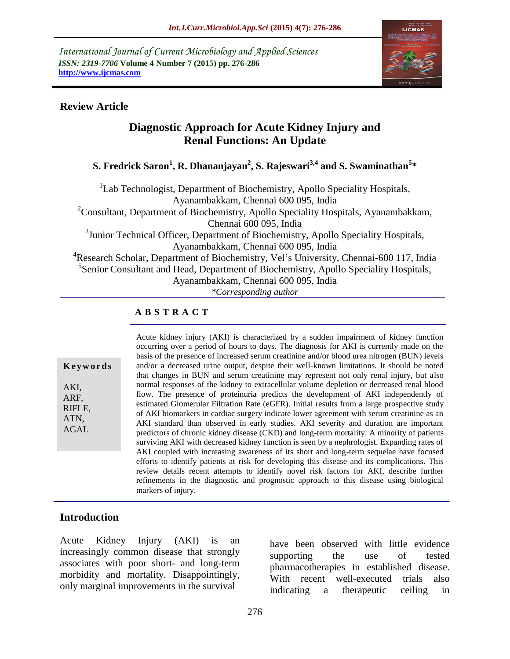*International Journal of Current Microbiology and Applied Sciences ISSN: 2319-7706* **Volume 4 Number 7 (2015) pp. 276-286 http://www.ijcmas.com** 



## **Review Article**

# **Diagnostic Approach for Acute Kidney Injury and Renal Functions: An Update**

# **S. Fredrick Saron<sup>1</sup> , R. Dhananjayan<sup>2</sup> , S. Rajeswari3,4 and S. Swaminathan<sup>5</sup> \***

<sup>1</sup>Lab Technologist, Department of Biochemistry, Apollo Speciality Hospitals, Ayanambakkam, Chennai 600 095, India

<sup>2</sup>Consultant, Department of Biochemistry, Apollo Speciality Hospitals, Ayanambakkam, Chennai 600 095, India

<sup>3</sup> Junior Technical Officer, Department of Biochemistry, Apollo Speciality Hospitals, Ayanambakkam, Chennai 600 095, India

<sup>4</sup>Research Scholar, Department of Biochemistry, Vel's University, Chennai-600 117, India <sup>5</sup>Senior Consultant and Head, Department of Biochemistry, Apollo Speciality Hospitals,

Ayanambakkam, Chennai 600 095, India

*\*Corresponding author*

## **A B S T R A C T**

**K e y w o r d s** AKI, ARF, RIFLE, ATN, AGAL

Acute kidney injury (AKI) is characterized by a sudden impairment of kidney function occurring over a period of hours to days. The diagnosis for AKI is currently made on the basis of the presence of increased serum creatinine and/or blood urea nitrogen (BUN) levels and/or a decreased urine output, despite their well-known limitations. It should be noted that changes in BUN and serum creatinine may represent not only renal injury, but also normal responses of the kidney to extracellular volume depletion or decreased renal blood flow. The presence of proteinuria predicts the development of AKI independently of estimated Glomerular Filtration Rate (eGFR). Initial results from a large prospective study of AKI biomarkers in cardiac surgery indicate lower agreement with serum creatinine as an AKI standard than observed in early studies. AKI severity and duration are important predictors of chronic kidney disease (CKD) and long-term mortality. A minority of patients surviving AKI with decreased kidney function is seen by a nephrologist. Expanding rates of AKI coupled with increasing awareness of its short and long-term sequelae have focused efforts to identify patients at risk for developing this disease and its complications. This review details recent attempts to identify novel risk factors for AKI, describe further refinements in the diagnostic and prognostic approach to this disease using biological markers of injury.

# **Introduction**

Acute Kidney Injury (AKI) is an increasingly common disease that strongly associates with poor short- and long-term morbidity and mortality. Disappointingly, only marginal improvements in the survival

have been observed with little evidence supporting the use of tested pharmacotherapies in established disease. With recent well-executed trials also indicating a therapeutic ceiling in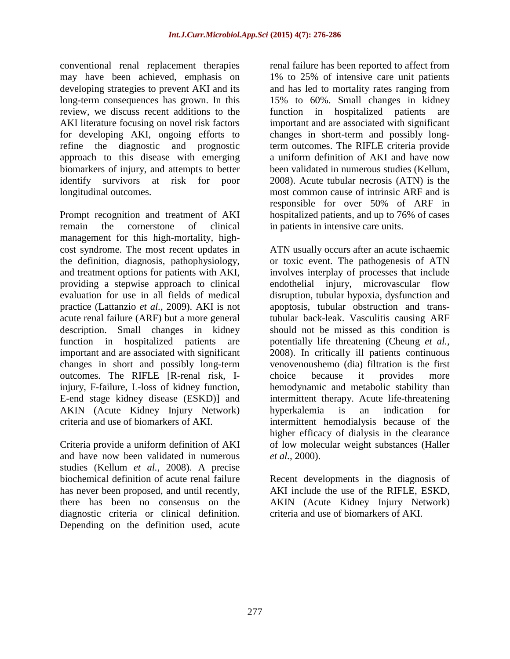conventional renal replacement therapies may have been achieved, emphasis on developing strategies to prevent AKI and its long-term consequences has grown. In this review, we discuss recent additions to the AKI literature focusing on novel risk factors for developing AKI, ongoing efforts to refine the diagnostic and prognostic approach to this disease with emerging biomarkers of injury, and attempts to better identify survivors at risk for poor longitudinal outcomes.

Prompt recognition and treatment of AKI remain the cornerstone of clinical management for this high-mortality, highcost syndrome. The most recent updates in the definition, diagnosis, pathophysiology, and treatment options for patients with AKI, providing a stepwise approach to clinical evaluation for use in all fields of medical practice [\(Lattanzio](http://www.ncbi.nlm.nih.gov/pubmed/?term=Lattanzio%20MR%5BAuthor%5D&cauthor=true&cauthor_uid=19193820) *et al.,* 2009). AKI is not acute renal failure (ARF) but a more general description. Small changes in kidney function in hospitalized patients are important and are associated with significant changes in short and possibly long-term outcomes. The RIFLE [R-renal risk, Iinjury, F-failure, L-loss of kidney function, E-end stage kidney disease (ESKD)] and AKIN (Acute Kidney Injury Network) criteria and use of biomarkers of AKI.

Criteria provide a uniform definition of AKI and have now been validated in numerous studies [\(Kellum](http://www.ncbi.nlm.nih.gov/pubmed/?term=Kellum%20JA%5BAuthor%5D&cauthor=true&cauthor_uid=18802365) *et al.,* 2008). A precise biochemical definition of acute renal failure has never been proposed, and until recently, there has been no consensus on the diagnostic criteria or clinical definition. Depending on the definition used, acute

renal failure has been reported to affect from 1% to 25% of intensive care unit patients and has led to mortality rates ranging from 15% to 60%. Small changes in kidney function in hospitalized patients are important and are associated with significant changes in short-term and possibly longterm outcomes. The RIFLE criteria provide a uniform definition of AKI and have now been validated in numerous studies [\(Kellum,](http://www.ncbi.nlm.nih.gov/pubmed/?term=Kellum%20JA%5BAuthor%5D&cauthor=true&cauthor_uid=18382185) 2008). Acute tubular necrosis (ATN) is the most common cause of intrinsic ARF and is responsible for over 50% of ARF in hospitalized patients, and up to 76% of cases in patients in intensive care units.

ATN usually occurs after an acute ischaemic or toxic event. The pathogenesis of ATN involves interplay of processes that include endothelial injury, microvascular flow disruption, tubular hypoxia, dysfunction and apoptosis, tubular obstruction and transtubular back-leak. Vasculitis causing ARF should not be missed as this condition is potentially life threatening [\(Cheung](http://www.ncbi.nlm.nih.gov/pubmed/?term=Cheung%20CM%5BAuthor%5D&cauthor=true&cauthor_uid=18540687) *et al.,* 2008). In critically ill patients continuous venovenoushemo (dia) filtration is the first choice because it provides more hemodynamic and metabolic stability than intermittent therapy. Acute life-threatening hyperkalemia is an indication for intermittent hemodialysis because of the higher efficacy of dialysis in the clearance of low molecular weight substances [\(Haller](http://www.ncbi.nlm.nih.gov/pubmed/?term=Haller%20M%5BAuthor%5D&cauthor=true&cauthor_uid=10840548) *et al.,* 2000).

Recent developments in the diagnosis of AKI include the use of the RIFLE, ESKD, AKIN (Acute Kidney Injury Network) criteria and use of biomarkers of AKI.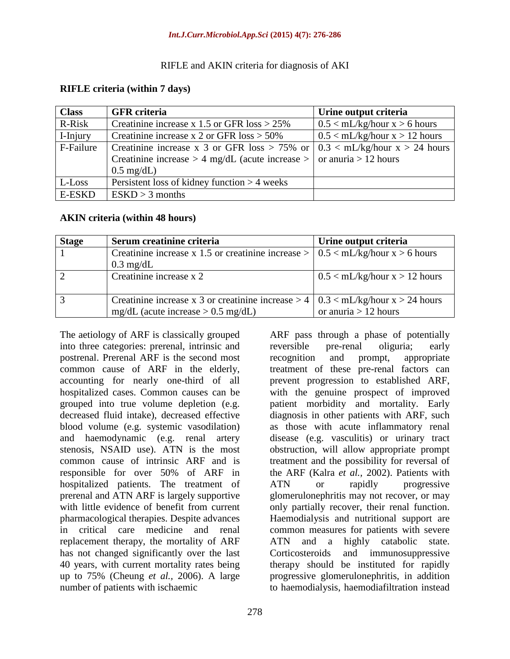#### RIFLE and AKIN criteria for diagnosis of AKI

| <b>Class</b> | <b>GFR</b> criteria                                                                | Urine output criteria                  |
|--------------|------------------------------------------------------------------------------------|----------------------------------------|
| R-Risk       | Creatinine increase x 1.5 or GFR loss $> 25\%$                                     | $0.5 < \text{mL/kg/hour}$ x > 6 hours  |
| I-Injury     | Creatinine increase x 2 or GFR $loss > 50\%$                                       | $0.5 < \text{mL/kg/hour}$ x > 12 hours |
| F-Failure    | Creatinine increase x 3 or GFR loss > 75% or $\vert$ 0.3 < mL/kg/hour x > 24 hours |                                        |
|              | Creatinine increase > 4 mg/dL (acute increase > $\vert$ or anuria > 12 hours       |                                        |
|              | $0.5 \text{ mg/dL}$                                                                |                                        |
| L-Loss       | Persistent loss of kidney function $>$ 4 weeks                                     |                                        |
| E-ESKD       | $ESKD > 3$ months                                                                  |                                        |

#### **RIFLE criteria (within 7 days)**

### **AKIN criteria (within 48 hours)**

| <b>Stage</b> | Serum creatinine criteria                                                                                                           | Urine output criteria                  |
|--------------|-------------------------------------------------------------------------------------------------------------------------------------|----------------------------------------|
|              | Creatinine increase x 1.5 or creatinine increase $>   0.5 \times mL/kg/h$ our x $> 6$ hours<br>$0.3 \text{ mg/dL}$                  |                                        |
|              | Creatinine increase x 2                                                                                                             | $0.5 < \text{mL/kg/hour}$ x > 12 hours |
| 3            | Creatinine increase x 3 or creatinine increase > 4   $0.3 < \text{mL/kg/hour x} > 24$ hours<br>$mg/dL$ (acute increase > 0.5 mg/dL) | or anuria $> 12$ hours                 |

The aetiology of ARF is classically grouped into three categories: prerenal, intrinsic and postrenal. Prerenal ARF is the second most common cause of ARF in the elderly, accounting for nearly one-third of all hospitalized cases. Common causes can be grouped into true volume depletion (e.g. decreased fluid intake), decreased effective blood volume (e.g. systemic vasodilation) and haemodynamic (e.g. renal artery stenosis, NSAID use). ATN is the most common cause of intrinsic ARF and is responsible for over 50% of ARF in hospitalized patients. The treatment of prerenal and ATN ARF is largely supportive with little evidence of benefit from current pharmacological therapies. Despite advances in critical care medicine and renal replacement therapy, the mortality of ARF has not changed significantly over the last 40 years, with current mortality rates being up to 75% [\(Cheung](http://www.ncbi.nlm.nih.gov/pubmed/?term=Cheung%20CM%5BAuthor%5D&cauthor=true&cauthor_uid=18540687) *et al.,* 2006). A large number of patients with ischaemic

ARF pass through a phase of potentially reversible pre-renal oliguria; early recognition and prompt, appropriate treatment of these pre-renal factors can prevent progression to established ARF, with the genuine prospect of improved patient morbidity and mortality. Early diagnosis in other patients with ARF, such as those with acute inflammatory renal disease (e.g. vasculitis) or urinary tract obstruction, will allow appropriate prompt treatment and the possibility for reversal of the ARF [\(Kalra](http://www.ncbi.nlm.nih.gov/pubmed/?term=Kalra%20PA%5BAuthor%5D&cauthor=true&cauthor_uid=12371720) *et al.,* 2002). Patients with ATN or rapidly progressive glomerulonephritis may not recover, or may only partially recover, their renal function. Haemodialysis and nutritional support are common measures for patients with severe ATN and a highly catabolic state. Corticosteroids and immunosuppressive therapy should be instituted for rapidly progressive glomerulonephritis, in addition to haemodialysis, haemodiafiltration instead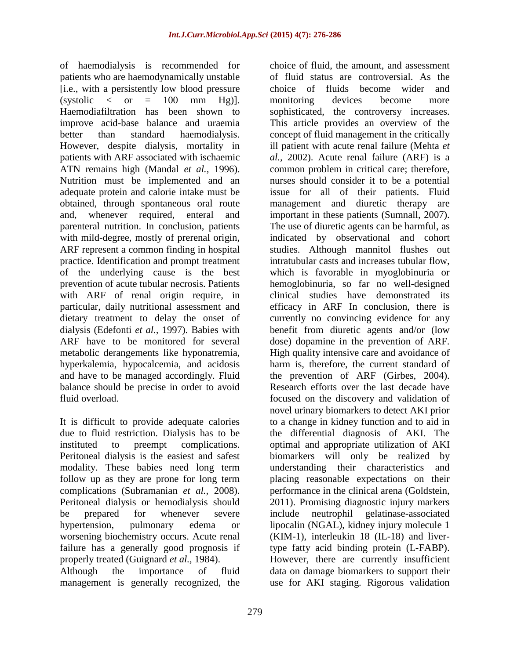of haemodialysis is recommended for patients who are haemodynamically unstable [i.e., with a persistently low blood pressure  $(systolic < or = 100 mm Hg)$ ]. Haemodiafiltration has been shown to improve acid-base balance and uraemia better than standard haemodialysis. However, despite dialysis, mortality in patients with ARF associated with ischaemic ATN remains high [\(Mandal](http://www.ncbi.nlm.nih.gov/pubmed/?term=Mandal%20AK%5BAuthor%5D&cauthor=true&cauthor_uid=8894522) *et al.,* 1996). Nutrition must be implemented and an adequate protein and calorie intake must be obtained, through spontaneous oral route and, whenever required, enteral and parenteral nutrition. In conclusion, patients with mild-degree, mostly of prerenal origin, ARF represent a common finding in hospital practice. Identification and prompt treatment of the underlying cause is the best prevention of acute tubular necrosis. Patients with ARF of renal origin require, in particular, daily nutritional assessment and dietary treatment to delay the onset of dialysis [\(Edefonti](http://www.ncbi.nlm.nih.gov/pubmed/?term=Edefonti%20A%5BAuthor%5D&cauthor=true&cauthor_uid=9280905) *et al.,* 1997). Babies with ARF have to be monitored for several metabolic derangements like hyponatremia, hyperkalemia, hypocalcemia, and acidosis and have to be managed accordingly. Fluid balance should be precise in order to avoid fluid overload.

It is difficult to provide adequate calories due to fluid restriction. Dialysis has to be instituted to preempt complications. Peritoneal dialysis is the easiest and safest modality. These babies need long term follow up as they are prone for long term complications [\(Subramanian](http://www.ncbi.nlm.nih.gov/pubmed/?term=Subramanian%20S%5BAuthor%5D&cauthor=true&cauthor_uid=18536895) *et al.,* 2008). Peritoneal dialysis or hemodialysis should be prepared for whenever severe hypertension, pulmonary edema or worsening biochemistry occurs. Acute renal failure has a generally good prognosis if properly treated [\(Guignard](http://www.ncbi.nlm.nih.gov/pubmed/?term=Guignard%20JP%5BAuthor%5D&cauthor=true&cauthor_uid=6322291) *et al.,* 1984).

Although the importance of fluid management is generally recognized, the

choice of fluid, the amount, and assessment of fluid status are controversial. As the choice of fluids become wider and monitoring devices become more sophisticated, the controversy increases. This article provides an overview of the concept of fluid management in the critically ill patient with acute renal failure [\(Mehta](http://www.ncbi.nlm.nih.gov/pubmed/?term=Mehta%20RL%5BAuthor%5D&cauthor=true&cauthor_uid=12454538) *et al.,* 2002). Acute renal failure (ARF) is a common problem in critical care; therefore, nurses should consider it to be a potential issue for all of their patients. Fluid management and diuretic therapy are important in these patients [\(Sumnall,](http://www.ncbi.nlm.nih.gov/pubmed/?term=Sumnall%20R%5BAuthor%5D&cauthor=true&cauthor_uid=17883661) 2007). The use of diuretic agents can be harmful, as indicated by observational and cohort studies. Although mannitol flushes out intratubular casts and increases tubular flow, which is favorable in myoglobinuria or hemoglobinuria, so far no well-designed clinical studies have demonstrated its efficacy in ARF In conclusion, there is currently no convincing evidence for any benefit from diuretic agents and/or (low dose) dopamine in the prevention of ARF. High quality intensive care and avoidance of harm is, therefore, the current standard of the prevention of ARF [\(Girbes,](http://www.ncbi.nlm.nih.gov/pubmed/?term=Girbes%20AR%5BAuthor%5D&cauthor=true&cauthor_uid=15645615) 2004). Research efforts over the last decade have focused on the discovery and validation of novel urinary biomarkers to detect AKI prior to a change in kidney function and to aid in the differential diagnosis of AKI. The optimal and appropriate utilization of AKI biomarkers will only be realized by understanding their characteristics and placing reasonable expectations on their performance in the clinical arena [\(Goldstein,](http://www.ncbi.nlm.nih.gov/pubmed/?term=Goldstein%20SL%5BAuthor%5D&cauthor=true&cauthor_uid=22189039) 2011). Promising diagnostic injury markers include neutrophil gelatinase-associated lipocalin (NGAL), kidney injury molecule 1 (KIM-1), interleukin 18 (IL-18) and livertype fatty acid binding protein (L-FABP). However, there are currently insufficient data on damage biomarkers to support their use for AKI staging. Rigorous validation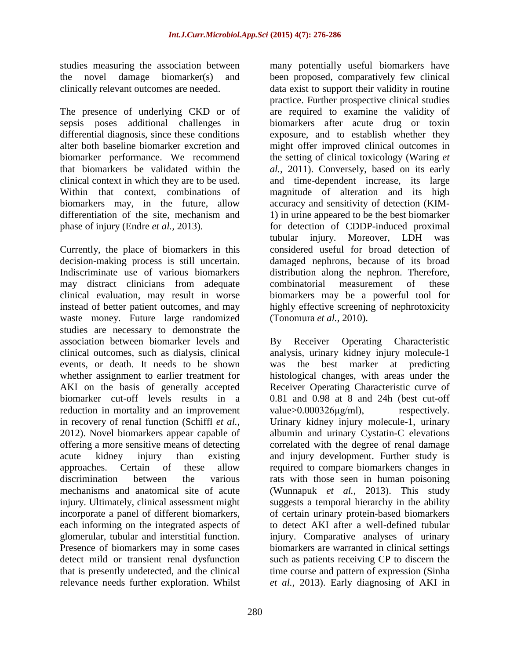studies measuring the association between the novel damage biomarker(s) and clinically relevant outcomes are needed.

The presence of underlying CKD or of sepsis poses additional challenges in differential diagnosis, since these conditions alter both baseline biomarker excretion and biomarker performance. We recommend that biomarkers be validated within the clinical context in which they are to be used. Within that context, combinations of biomarkers may, in the future, allow differentiation of the site, mechanism and phase of injury [\(Endre](http://www.ncbi.nlm.nih.gov/pubmed/?term=Endre%20ZH%5BAuthor%5D&cauthor=true&cauthor_uid=23689654) *et al.,* 2013).

Currently, the place of biomarkers in this decision-making process is still uncertain. Indiscriminate use of various biomarkers may distract clinicians from adequate clinical evaluation, may result in worse instead of better patient outcomes, and may waste money. Future large randomized studies are necessary to demonstrate the association between biomarker levels and clinical outcomes, such as dialysis, clinical events, or death. It needs to be shown whether assignment to earlier treatment for AKI on the basis of generally accepted biomarker cut-off levels results in a reduction in mortality and an improvement in recovery of renal function (Schiffl *et al.,* 2012). Novel biomarkers appear capable of offering a more sensitive means of detecting acute kidney injury than existing approaches. Certain of these allow discrimination between the various mechanisms and anatomical site of acute injury. Ultimately, clinical assessment might incorporate a panel of different biomarkers, each informing on the integrated aspects of glomerular, tubular and interstitial function. Presence of biomarkers may in some cases detect mild or transient renal dysfunction that is presently undetected, and the clinical relevance needs further exploration. Whilst

280

many potentially useful biomarkers have been proposed, comparatively few clinical data exist to support their validity in routine practice. Further prospective clinical studies are required to examine the validity of biomarkers after acute drug or toxin exposure, and to establish whether they might offer improved clinical outcomes in the setting of clinical toxicology (Waring *et al.,* 2011). Conversely, based on its early and time-dependent increase, its large magnitude of alteration and its high accuracy and sensitivity of detection (KIM-1) in urine appeared to be the best biomarker for detection of CDDP-induced proximal tubular injury. Moreover, LDH was considered useful for broad detection of damaged nephrons, because of its broad distribution along the nephron. Therefore, combinatorial measurement of these biomarkers may be a powerful tool for highly effective screening of nephrotoxicity (Tonomura *et al.,* 2010).

By Receiver Operating Characteristic analysis, urinary kidney injury molecule-1 was the best marker at predicting histological changes, with areas under the Receiver Operating Characteristic curve of 0.81 and 0.98 at 8 and 24h (best cut-off value>0.000326μg/ml), respectively. Urinary kidney injury molecule-1, urinary albumin and urinary Cystatin-C elevations correlated with the degree of renal damage and injury development. Further study is required to compare biomarkers changes in rats with those seen in human poisoning (Wunnapuk *et al.,* 2013). This study suggests a temporal hierarchy in the ability of certain urinary protein-based biomarkers to detect AKI after a well-defined tubular injury. Comparative analyses of urinary biomarkers are warranted in clinical settings such as patients receiving CP to discern the time course and pattern of expression (Sinha *et al.,* 2013). Early diagnosing of AKI in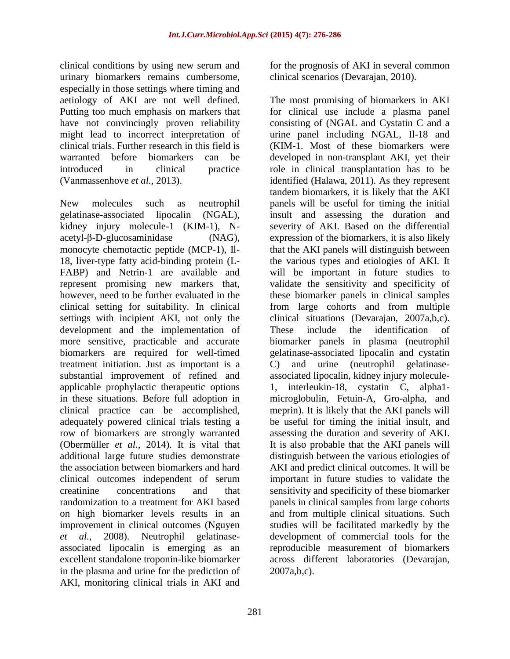clinical conditions by using new serum and urinary biomarkers remains cumbersome, especially in those settings where timing and aetiology of AKI are not well defined. Putting too much emphasis on markers that have not convincingly proven reliability might lead to incorrect interpretation of clinical trials. Further research in this field is warranted before biomarkers can be introduced in clinical practice (Vanmassenhove *et al.,* 2013).

New molecules such as neutrophil gelatinase-associated lipocalin (NGAL), kidney injury molecule-1 (KIM-1), Nacetyl-β-D-glucosaminidase (NAG), monocyte chemotactic peptide (MCP-1), Il-18, liver-type fatty acid-binding protein (L-FABP) and Netrin-1 are available and represent promising new markers that, however, need to be further evaluated in the clinical setting for suitability. In clinical settings with incipient AKI, not only the development and the implementation of more sensitive, practicable and accurate biomarkers are required for well-timed treatment initiation. Just as important is a substantial improvement of refined and applicable prophylactic therapeutic options in these situations. Before full adoption in clinical practice can be accomplished, adequately powered clinical trials testing a row of biomarkers are strongly warranted (Obermüller *et al.,* 2014). It is vital that additional large future studies demonstrate the association between biomarkers and hard clinical outcomes independent of serum creatinine concentrations and that randomization to a treatment for AKI based on high biomarker levels results in an improvement in clinical outcomes (Nguyen *et al.,* 2008). Neutrophil gelatinaseassociated lipocalin is emerging as an excellent standalone troponin-like biomarker in the plasma and urine for the prediction of AKI, monitoring clinical trials in AKI and

for the prognosis of AKI in several common clinical scenarios (Devarajan, 2010).

The most promising of biomarkers in AKI for clinical use include a plasma panel consisting of (NGAL and Cystatin C and a urine panel including NGAL, Il-18 and (KIM-1. Most of these biomarkers were developed in non-transplant AKI, yet their role in clinical transplantation has to be identified (Halawa, 2011). As they represent tandem biomarkers, it is likely that the AKI panels will be useful for timing the initial insult and assessing the duration and severity of AKI. Based on the differential expression of the biomarkers, it is also likely that the AKI panels will distinguish between the various types and etiologies of AKI. It will be important in future studies to validate the sensitivity and specificity of these biomarker panels in clinical samples from large cohorts and from multiple clinical situations (Devarajan, 2007a,b,c). These include the identification of biomarker panels in plasma (neutrophil gelatinase-associated lipocalin and cystatin C) and urine (neutrophil gelatinaseassociated lipocalin, kidney injury molecule-1, interleukin-18, cystatin C, alpha1 microglobulin, Fetuin-A, Gro-alpha, and meprin). It is likely that the AKI panels will be useful for timing the initial insult, and assessing the duration and severity of AKI. It is also probable that the AKI panels will distinguish between the various etiologies of AKI and predict clinical outcomes. It will be important in future studies to validate the sensitivity and specificity of these biomarker panels in clinical samples from large cohorts and from multiple clinical situations. Such studies will be facilitated markedly by the development of commercial tools for the reproducible measurement of biomarkers across different laboratories (Devarajan, 2007a,b,c).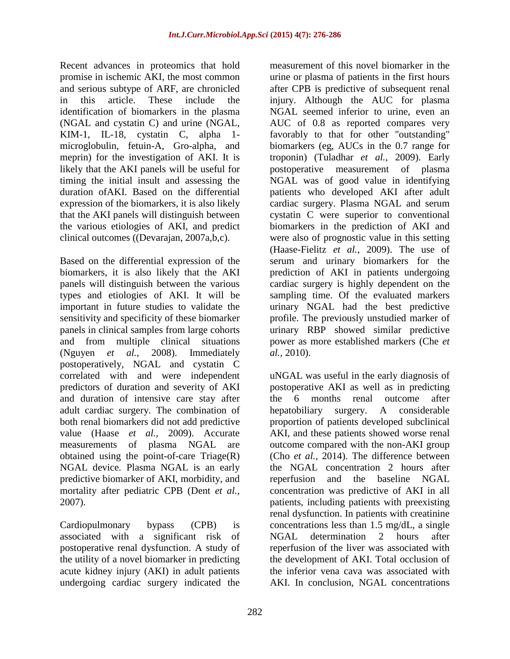Recent advances in proteomics that hold promise in ischemic AKI, the most common and serious subtype of ARF, are chronicled in this article. These include the identification of biomarkers in the plasma (NGAL and cystatin C) and urine (NGAL, KIM-1, IL-18, cystatin C, alpha 1 microglobulin, fetuin-A, Gro-alpha, and meprin) for the investigation of AKI. It is likely that the AKI panels will be useful for timing the initial insult and assessing the duration ofAKI. Based on the differential expression of the biomarkers, it is also likely that the AKI panels will distinguish between the various etiologies of AKI, and predict clinical outcomes ((Devarajan, 2007a,b,c).

Based on the differential expression of the biomarkers, it is also likely that the AKI panels will distinguish between the various types and etiologies of AKI. It will be important in future studies to validate the sensitivity and specificity of these biomarker panels in clinical samples from large cohorts and from multiple clinical situations (Nguyen *et al.,* 2008). Immediately postoperatively, NGAL and cystatin C correlated with and were independent predictors of duration and severity of AKI and duration of intensive care stay after adult cardiac surgery. The combination of both renal biomarkers did not add predictive value (Haase *et al.,* 2009). Accurate measurements of plasma NGAL are obtained using the point-of-care Triage(R) NGAL device. Plasma NGAL is an early predictive biomarker of AKI, morbidity, and mortality after pediatric CPB (Dent *et al.,* 2007).

Cardiopulmonary bypass (CPB) is associated with a significant risk of postoperative renal dysfunction. A study of the utility of a novel biomarker in predicting acute kidney injury (AKI) in adult patients undergoing cardiac surgery indicated the

measurement of this novel biomarker in the urine or plasma of patients in the first hours after CPB is predictive of subsequent renal injury. Although the AUC for plasma NGAL seemed inferior to urine, even an AUC of 0.8 as reported compares very favorably to that for other "outstanding" biomarkers (eg, AUCs in the 0.7 range for troponin) (Tuladhar *et al.,* 2009). Early postoperative measurement of plasma NGAL was of good value in identifying patients who developed AKI after adult cardiac surgery. Plasma NGAL and serum cystatin C were superior to conventional biomarkers in the prediction of AKI and were also of prognostic value in this setting (Haase-Fielitz *et al.,* 2009). The use of serum and urinary biomarkers for the prediction of AKI in patients undergoing cardiac surgery is highly dependent on the sampling time. Of the evaluated markers urinary NGAL had the best predictive profile. The previously unstudied marker of urinary RBP showed similar predictive power as more established markers (Che *et al.,* 2010).

uNGAL was useful in the early diagnosis of postoperative AKI as well as in predicting the 6 months renal outcome after hepatobiliary surgery. A considerable proportion of patients developed subclinical AKI, and these patients showed worse renal outcome compared with the non-AKI group (Cho *et al.,* 2014). The difference between the NGAL concentration 2 hours after reperfusion and the baseline NGAL concentration was predictive of AKI in all patients, including patients with preexisting renal dysfunction. In patients with creatinine concentrations less than 1.5 mg/dL, a single NGAL determination 2 hours after reperfusion of the liver was associated with the development of AKI. Total occlusion of the inferior vena cava was associated with AKI. In conclusion, NGAL concentrations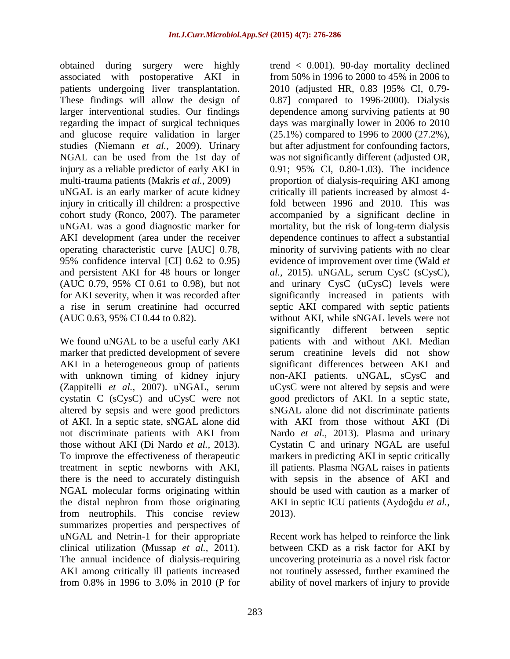obtained during surgery were highly associated with postoperative AKI in patients undergoing liver transplantation. These findings will allow the design of larger interventional studies. Our findings regarding the impact of surgical techniques and glucose require validation in larger studies (Niemann *et al.,* 2009). Urinary NGAL can be used from the 1st day of injury as a reliable predictor of early AKI in multi-trauma patients (Makris *et al.,* 2009) [uNGAL](http://www.ncbi.nlm.nih.gov/pubmed/17678545) is an early marker of acute kidney injury in critically ill children: a [prospective](http://www.ncbi.nlm.nih.gov/pubmed/17678545) [cohort](http://www.ncbi.nlm.nih.gov/pubmed/17678545) study (Ronco, 2007). The parameter uNGAL was a good diagnostic marker for AKI development (area under the receiver operating characteristic curve [AUC] 0.78, 95% confidence interval [CI] 0.62 to 0.95) and persistent AKI for 48 hours or longer (AUC 0.79, 95% CI 0.61 to 0.98), but not for AKI severity, when it was recorded after a rise in serum creatinine had occurred (AUC 0.63, 95% CI 0.44 to 0.82).

We found uNGAL to be a useful early AKI marker that predicted development of severe AKI in a heterogeneous group of patients with unknown timing of kidney injury (Zappitelli *et al.,* 2007). uNGAL, serum cystatin C (sCysC) and uCysC were not altered by sepsis and were good predictors of AKI. In a septic state, sNGAL alone did not discriminate patients with AKI from those without AKI (Di Nardo *et al.,* 2013). To improve the effectiveness of therapeutic treatment in septic newborns with AKI, there is the need to accurately distinguish NGAL molecular forms originating within the distal nephron from those originating from neutrophils. This concise review summarizes properties and perspectives of uNGAL and Netrin-1 for their appropriate clinical utilization (Mussap *et al.,* 2011). The annual incidence of dialysis-requiring AKI among critically ill patients increased from 0.8% in 1996 to 3.0% in 2010 (P for

trend < 0.001). 90-day mortality declined from 50% in 1996 to 2000 to 45% in 2006 to 2010 (adjusted HR, 0.83 [95% CI, 0.79- 0.87] compared to 1996-2000). Dialysis dependence among surviving patients at 90 days was marginally lower in 2006 to 2010 (25.1%) compared to 1996 to 2000 (27.2%), but after adjustment for confounding factors, was not significantly different (adjusted OR, 0.91; 95% CI, 0.80-1.03). The incidence proportion of dialysis-requiring AKI among critically ill patients increased by almost 4 fold between 1996 and 2010. This was accompanied by a significant decline in mortality, but the risk of long-term dialysis dependence continues to affect a substantial minority of surviving patients with no clear evidence of improvement over time (Wald *et al.,* 2015). uNGAL, serum CysC (sCysC), and urinary CysC (uCysC) levels were significantly increased in patients with septic AKI compared with septic patients without AKI, while sNGAL levels were not significantly different between septic patients with and without AKI. Median serum creatinine levels did not show significant differences between AKI and non-AKI patients. uNGAL, sCysC and uCysC were not altered by sepsis and were good predictors of AKI. In a septic state, sNGAL alone did not discriminate patients with AKI from those without AKI (Di Nardo *et al.,* 2013). Plasma and urinary Cystatin C and urinary NGAL are useful markers in predicting AKI in septic critically ill patients. Plasma NGAL raises in patients with sepsis in the absence of AKI and should be used with caution as a marker of AKI in septic ICU patients (Aydoğdu *et al.,* 2013).

Recent work has helped to reinforce the link between CKD as a risk factor for AKI by uncovering proteinuria as a novel risk factor not routinely assessed, further examined the ability of novel markers of injury to provide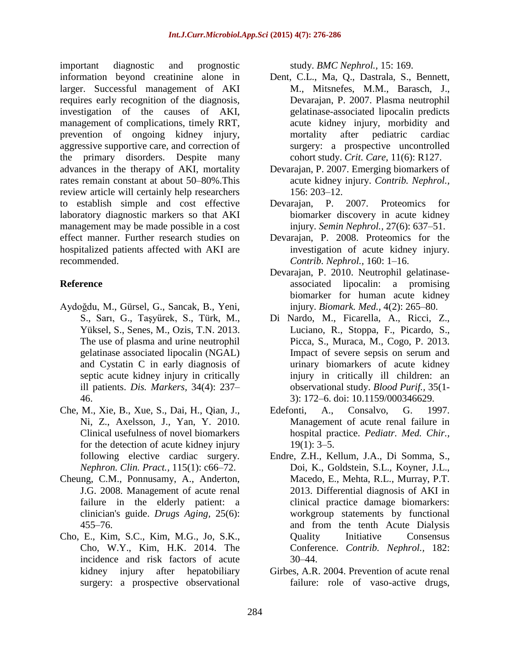important diagnostic and prognostic information beyond creatinine alone in larger. Successful management of AKI requires early recognition of the diagnosis, investigation of the causes of AKI, management of complications, timely RRT, prevention of ongoing kidney injury, aggressive supportive care, and correction of the primary disorders. Despite many advances in the therapy of AKI, mortality rates remain constant at about 50–80%.This review article will certainly help researchers to establish simple and cost effective laboratory diagnostic markers so that AKI management may be made possible in a cost effect manner. Further research studies on hospitalized patients affected with AKI are recommended.

### **Reference**

- [Aydoğdu, M.](http://www.ncbi.nlm.nih.gov/pubmed/?term=Aydo%C4%9Fdu%20M%5BAuthor%5D&cauthor=true&cauthor_uid=23396290), [Gürsel, G.](http://www.ncbi.nlm.nih.gov/pubmed/?term=G%C3%BCrsel%20G%5BAuthor%5D&cauthor=true&cauthor_uid=23396290), [Sancak, B.](http://www.ncbi.nlm.nih.gov/pubmed/?term=Sancak%20B%5BAuthor%5D&cauthor=true&cauthor_uid=23396290), [Yeni,](http://www.ncbi.nlm.nih.gov/pubmed/?term=Yeni%20S%5BAuthor%5D&cauthor=true&cauthor_uid=23396290)  [S.](http://www.ncbi.nlm.nih.gov/pubmed/?term=Yeni%20S%5BAuthor%5D&cauthor=true&cauthor_uid=23396290), [Sarı,](http://www.ncbi.nlm.nih.gov/pubmed/?term=Sar%C4%B1%20G%5BAuthor%5D&cauthor=true&cauthor_uid=23396290) G., [Taşyürek, S.](http://www.ncbi.nlm.nih.gov/pubmed/?term=Ta%C5%9Fy%C3%BCrek%20S%5BAuthor%5D&cauthor=true&cauthor_uid=23396290), [Türk, M.](http://www.ncbi.nlm.nih.gov/pubmed/?term=T%C3%BCrk%20M%5BAuthor%5D&cauthor=true&cauthor_uid=23396290), [Yüksel, S.](http://www.ncbi.nlm.nih.gov/pubmed/?term=Y%C3%BCksel%20S%5BAuthor%5D&cauthor=true&cauthor_uid=23396290), [Senes, M.](http://www.ncbi.nlm.nih.gov/pubmed/?term=Senes%20M%5BAuthor%5D&cauthor=true&cauthor_uid=23396290), [Ozis, T.N.](http://www.ncbi.nlm.nih.gov/pubmed/?term=Ozis%20TN%5BAuthor%5D&cauthor=true&cauthor_uid=23396290) 2013. The use of plasma and urine neutrophil gelatinase associated lipocalin (NGAL) and Cystatin C in early diagnosis of septic acute kidney injury in critically ill patients. *[Dis. Markers,](http://www.ncbi.nlm.nih.gov/pubmed/23396290)* 34(4): 237– 46.
- [Che, M.](http://www.ncbi.nlm.nih.gov/pubmed/?term=Che%20M%5BAuthor%5D&cauthor=true&cauthor_uid=20173352), [Xie, B.](http://www.ncbi.nlm.nih.gov/pubmed/?term=Xie%20B%5BAuthor%5D&cauthor=true&cauthor_uid=20173352), [Xue, S.](http://www.ncbi.nlm.nih.gov/pubmed/?term=Xue%20S%5BAuthor%5D&cauthor=true&cauthor_uid=20173352), [Dai, H.](http://www.ncbi.nlm.nih.gov/pubmed/?term=Dai%20H%5BAuthor%5D&cauthor=true&cauthor_uid=20173352), [Qian, J.](http://www.ncbi.nlm.nih.gov/pubmed/?term=Qian%20J%5BAuthor%5D&cauthor=true&cauthor_uid=20173352), [Ni, Z.](http://www.ncbi.nlm.nih.gov/pubmed/?term=Ni%20Z%5BAuthor%5D&cauthor=true&cauthor_uid=20173352), [Axelsson, J.](http://www.ncbi.nlm.nih.gov/pubmed/?term=Axelsson%20J%5BAuthor%5D&cauthor=true&cauthor_uid=20173352), [Yan, Y.](http://www.ncbi.nlm.nih.gov/pubmed/?term=Yan%20Y%5BAuthor%5D&cauthor=true&cauthor_uid=20173352) 2010. Clinical usefulness of novel biomarkers for the detection of acute kidney injury following elective cardiac surgery. *[Nephron. Clin. Pract.,](http://www.ncbi.nlm.nih.gov/pubmed/20173352)* 115(1): c66–72.
- [Cheung, C.M.](http://www.ncbi.nlm.nih.gov/pubmed/?term=Cheung%20CM%5BAuthor%5D&cauthor=true&cauthor_uid=18540687), [Ponnusamy, A.](http://www.ncbi.nlm.nih.gov/pubmed/?term=Ponnusamy%20A%5BAuthor%5D&cauthor=true&cauthor_uid=18540687), [Anderton,](http://www.ncbi.nlm.nih.gov/pubmed/?term=Anderton%20JG%5BAuthor%5D&cauthor=true&cauthor_uid=18540687)  [J.G.](http://www.ncbi.nlm.nih.gov/pubmed/?term=Anderton%20JG%5BAuthor%5D&cauthor=true&cauthor_uid=18540687) 2008. Management of acute renal failure in the elderly patient: a clinician's guide. *[Drugs Aging,](http://www.ncbi.nlm.nih.gov/pubmed/18540687)* 25(6): 455–76.
- [Cho, E.](http://www.ncbi.nlm.nih.gov/pubmed/?term=Cho%20E%5BAuthor%5D&cauthor=true&cauthor_uid=25342079), [Kim, S.C.](http://www.ncbi.nlm.nih.gov/pubmed/?term=Kim%20SC%5BAuthor%5D&cauthor=true&cauthor_uid=25342079), [Kim, M.G.](http://www.ncbi.nlm.nih.gov/pubmed/?term=Kim%20MG%5BAuthor%5D&cauthor=true&cauthor_uid=25342079), [Jo, S.K.](http://www.ncbi.nlm.nih.gov/pubmed/?term=Jo%20SK%5BAuthor%5D&cauthor=true&cauthor_uid=25342079), [Cho, W.Y.](http://www.ncbi.nlm.nih.gov/pubmed/?term=Cho%20WY%5BAuthor%5D&cauthor=true&cauthor_uid=25342079), [Kim, H.K.](http://www.ncbi.nlm.nih.gov/pubmed/?term=Kim%20HK%5BAuthor%5D&cauthor=true&cauthor_uid=25342079) 2014. The incidence and risk factors of acute kidney injury after hepatobiliary surgery: a prospective observational

study. *[BMC Nephrol.,](http://www.ncbi.nlm.nih.gov/pubmed/25342079)* 15: 169.

- [Dent, C.L.](http://www.ncbi.nlm.nih.gov/pubmed/?term=Dent%20CL%5BAuthor%5D&cauthor=true&cauthor_uid=18070344), [Ma, Q.](http://www.ncbi.nlm.nih.gov/pubmed/?term=Ma%20Q%5BAuthor%5D&cauthor=true&cauthor_uid=18070344), [Dastrala, S.](http://www.ncbi.nlm.nih.gov/pubmed/?term=Dastrala%20S%5BAuthor%5D&cauthor=true&cauthor_uid=18070344), [Bennett,](http://www.ncbi.nlm.nih.gov/pubmed/?term=Bennett%20M%5BAuthor%5D&cauthor=true&cauthor_uid=18070344)  [M.](http://www.ncbi.nlm.nih.gov/pubmed/?term=Bennett%20M%5BAuthor%5D&cauthor=true&cauthor_uid=18070344), [Mitsnefes, M.M.](http://www.ncbi.nlm.nih.gov/pubmed/?term=Mitsnefes%20MM%5BAuthor%5D&cauthor=true&cauthor_uid=18070344), [Barasch, J.](http://www.ncbi.nlm.nih.gov/pubmed/?term=Barasch%20J%5BAuthor%5D&cauthor=true&cauthor_uid=18070344), [Devarajan, P.](http://www.ncbi.nlm.nih.gov/pubmed/?term=Devarajan%20P%5BAuthor%5D&cauthor=true&cauthor_uid=18070344) 2007. Plasma neutrophil gelatinase-associated lipocalin predicts acute kidney injury, morbidity and mortality after pediatric cardiac surgery: a prospective uncontrolled cohort study. *[Crit. Care,](http://www.ncbi.nlm.nih.gov/pubmed/18070344)* 11(6): R127.
- [Devarajan, P.](http://www.ncbi.nlm.nih.gov/pubmed/?term=Devarajan%20P%5BAuthor%5D&cauthor=true&cauthor_uid=17464129) 2007. Emerging biomarkers of acute kidney injury. *[Contrib. Nephrol.,](http://www.ncbi.nlm.nih.gov/pubmed/17464129)* 156: 203–12.
- [Devarajan, P.](http://www.ncbi.nlm.nih.gov/pubmed/?term=Devarajan%20P%5BAuthor%5D&cauthor=true&cauthor_uid=18061846) 2007. Proteomics for biomarker discovery in acute kidney injury. *[Semin Nephrol.,](http://www.ncbi.nlm.nih.gov/pubmed/18061846)* 27(6): 637–51.
- [Devarajan, P.](http://www.ncbi.nlm.nih.gov/pubmed/?term=Devarajan%20P%5BAuthor%5D&cauthor=true&cauthor_uid=18401157) 2008. Proteomics for the investigation of acute kidney injury. *[Contrib. Nephrol.,](http://www.ncbi.nlm.nih.gov/pubmed/18401157)* 160: 1–16.
- [Devarajan, P.](http://www.ncbi.nlm.nih.gov/pubmed/?term=Devarajan%20P%5BAuthor%5D&cauthor=true&cauthor_uid=20406069) 2010. Neutrophil gelatinaseassociated lipocalin: a promising biomarker for human acute kidney injury. *[Biomark. Med.,](http://www.ncbi.nlm.nih.gov/pubmed/20406069)* 4(2): 265–80.
- [Di Nardo, M.](http://www.ncbi.nlm.nih.gov/pubmed/?term=Di%20Nardo%20M%5BAuthor%5D&cauthor=true&cauthor_uid=23428967), [Ficarella, A.](http://www.ncbi.nlm.nih.gov/pubmed/?term=Ficarella%20A%5BAuthor%5D&cauthor=true&cauthor_uid=23428967), [Ricci, Z.](http://www.ncbi.nlm.nih.gov/pubmed/?term=Ricci%20Z%5BAuthor%5D&cauthor=true&cauthor_uid=23428967), [Luciano, R.](http://www.ncbi.nlm.nih.gov/pubmed/?term=Luciano%20R%5BAuthor%5D&cauthor=true&cauthor_uid=23428967), [Stoppa, F.](http://www.ncbi.nlm.nih.gov/pubmed/?term=Stoppa%20F%5BAuthor%5D&cauthor=true&cauthor_uid=23428967), [Picardo, S.](http://www.ncbi.nlm.nih.gov/pubmed/?term=Picardo%20S%5BAuthor%5D&cauthor=true&cauthor_uid=23428967), [Picca, S.](http://www.ncbi.nlm.nih.gov/pubmed/?term=Picca%20S%5BAuthor%5D&cauthor=true&cauthor_uid=23428967), [Muraca, M.](http://www.ncbi.nlm.nih.gov/pubmed/?term=Muraca%20M%5BAuthor%5D&cauthor=true&cauthor_uid=23428967), [Cogo, P.](http://www.ncbi.nlm.nih.gov/pubmed/?term=Cogo%20P%5BAuthor%5D&cauthor=true&cauthor_uid=23428967) 2013. Impact of severe sepsis on serum and urinary biomarkers of acute kidney injury in critically ill children: an observational study. *[Blood Purif.,](http://www.ncbi.nlm.nih.gov/pubmed/?term=.Impact+of+severe+sepsis+on+serum+and+urinary+biomarkers+of+acute+kidney+injury+in+critically+ill+children%3A+an+observational+study)* 35(1- 3): 172–6. doi: 10.1159/000346629.
- [Edefonti, A.](http://www.ncbi.nlm.nih.gov/pubmed/?term=Edefonti%20A%5BAuthor%5D&cauthor=true&cauthor_uid=9280905), [Consalvo, G.](http://www.ncbi.nlm.nih.gov/pubmed/?term=Consalvo%20G%5BAuthor%5D&cauthor=true&cauthor_uid=9280905) 1997. Management of acute renal failure in hospital practice. *[Pediatr. Med. Chir.,](http://www.ncbi.nlm.nih.gov/pubmed/9280905)* 19(1): 3–5.
- [Endre, Z.H.](http://www.ncbi.nlm.nih.gov/pubmed/?term=Endre%20ZH%5BAuthor%5D&cauthor=true&cauthor_uid=23689654), [Kellum, J.A.](http://www.ncbi.nlm.nih.gov/pubmed/?term=Kellum%20JA%5BAuthor%5D&cauthor=true&cauthor_uid=23689654), [Di Somma, S.](http://www.ncbi.nlm.nih.gov/pubmed/?term=Di%20Somma%20S%5BAuthor%5D&cauthor=true&cauthor_uid=23689654), [Doi, K.](http://www.ncbi.nlm.nih.gov/pubmed/?term=Doi%20K%5BAuthor%5D&cauthor=true&cauthor_uid=23689654), [Goldstein, S.L.](http://www.ncbi.nlm.nih.gov/pubmed/?term=Goldstein%20SL%5BAuthor%5D&cauthor=true&cauthor_uid=23689654), [Koyner, J.L.](http://www.ncbi.nlm.nih.gov/pubmed/?term=Koyner%20JL%5BAuthor%5D&cauthor=true&cauthor_uid=23689654), [Macedo, E.](http://www.ncbi.nlm.nih.gov/pubmed/?term=Macedo%20E%5BAuthor%5D&cauthor=true&cauthor_uid=23689654), [Mehta, R.L.](http://www.ncbi.nlm.nih.gov/pubmed/?term=Mehta%20RL%5BAuthor%5D&cauthor=true&cauthor_uid=23689654), [Murray, P.T.](http://www.ncbi.nlm.nih.gov/pubmed/?term=Murray%20PT%5BAuthor%5D&cauthor=true&cauthor_uid=23689654) 2013. Differential diagnosis of AKI in clinical practice damage biomarkers: workgroup statements by functional and from the tenth Acute Dialysis Quality Initiative Consensus Conference. *[Contrib. Nephrol.,](http://www.ncbi.nlm.nih.gov/pubmed/23689654)* 182: 30–44.
- [Girbes, A.R.](http://www.ncbi.nlm.nih.gov/pubmed/?term=Girbes%20AR%5BAuthor%5D&cauthor=true&cauthor_uid=15645615) 2004. Prevention of acute renal failure: role of vaso-active drugs,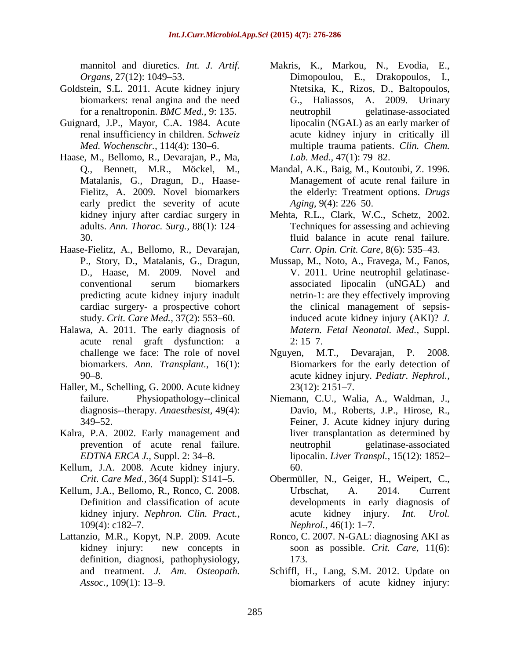mannitol and diuretics. *[Int. J. Artif.](http://www.ncbi.nlm.nih.gov/pubmed/15645615)  [Organs,](http://www.ncbi.nlm.nih.gov/pubmed/15645615)* 27(12): 1049–53.

- [Goldstein, S.L.](http://www.ncbi.nlm.nih.gov/pubmed/?term=Goldstein%20SL%5BAuthor%5D&cauthor=true&cauthor_uid=22189039) 2011. Acute kidney injury biomarkers: renal angina and the need for a renaltroponin. *[BMC Med.,](http://www.ncbi.nlm.nih.gov/pubmed/22189039)* 9: 135.
- [Guignard, J.P.](http://www.ncbi.nlm.nih.gov/pubmed/?term=Guignard%20JP%5BAuthor%5D&cauthor=true&cauthor_uid=6322291), [Mayor, C.A.](http://www.ncbi.nlm.nih.gov/pubmed/?term=Mayor%20CA%5BAuthor%5D&cauthor=true&cauthor_uid=6322291) 1984. Acute renal insufficiency in children. *[Schweiz](http://www.ncbi.nlm.nih.gov/pubmed/6322291)  [Med. Wochenschr.,](http://www.ncbi.nlm.nih.gov/pubmed/6322291)* 114(4): 130–6.
- [Haase, M.](http://www.ncbi.nlm.nih.gov/pubmed/?term=Haase%20M%5BAuthor%5D&cauthor=true&cauthor_uid=19559209), [Bellomo, R.](http://www.ncbi.nlm.nih.gov/pubmed/?term=Bellomo%20R%5BAuthor%5D&cauthor=true&cauthor_uid=19559209), [Devarajan, P.](http://www.ncbi.nlm.nih.gov/pubmed/?term=Devarajan%20P%5BAuthor%5D&cauthor=true&cauthor_uid=19559209), [Ma,](http://www.ncbi.nlm.nih.gov/pubmed/?term=Ma%20Q%5BAuthor%5D&cauthor=true&cauthor_uid=19559209)  [Q.](http://www.ncbi.nlm.nih.gov/pubmed/?term=Ma%20Q%5BAuthor%5D&cauthor=true&cauthor_uid=19559209), [Bennett, M.R.](http://www.ncbi.nlm.nih.gov/pubmed/?term=Bennett%20MR%5BAuthor%5D&cauthor=true&cauthor_uid=19559209), [Möckel, M.](http://www.ncbi.nlm.nih.gov/pubmed/?term=M%C3%B6ckel%20M%5BAuthor%5D&cauthor=true&cauthor_uid=19559209), [Matalanis, G.](http://www.ncbi.nlm.nih.gov/pubmed/?term=Matalanis%20G%5BAuthor%5D&cauthor=true&cauthor_uid=19559209), [Dragun, D.](http://www.ncbi.nlm.nih.gov/pubmed/?term=Dragun%20D%5BAuthor%5D&cauthor=true&cauthor_uid=19559209), [Haase-](http://www.ncbi.nlm.nih.gov/pubmed/?term=Haase-Fielitz%20A%5BAuthor%5D&cauthor=true&cauthor_uid=19559209)[Fielitz, A.](http://www.ncbi.nlm.nih.gov/pubmed/?term=Haase-Fielitz%20A%5BAuthor%5D&cauthor=true&cauthor_uid=19559209) 2009. Novel biomarkers early predict the severity of acute kidney injury after cardiac surgery in adults. *[Ann. Thorac. Surg.,](http://www.ncbi.nlm.nih.gov/pubmed/19559209)* 88(1): 124– 30.
- [Haase-Fielitz, A.](http://www.ncbi.nlm.nih.gov/pubmed/?term=Haase-Fielitz%20A%5BAuthor%5D&cauthor=true&cauthor_uid=19114878), [Bellomo, R.](http://www.ncbi.nlm.nih.gov/pubmed/?term=Bellomo%20R%5BAuthor%5D&cauthor=true&cauthor_uid=19114878), [Devarajan,](http://www.ncbi.nlm.nih.gov/pubmed/?term=Devarajan%20P%5BAuthor%5D&cauthor=true&cauthor_uid=19114878)  [P.](http://www.ncbi.nlm.nih.gov/pubmed/?term=Devarajan%20P%5BAuthor%5D&cauthor=true&cauthor_uid=19114878), [Story, D.](http://www.ncbi.nlm.nih.gov/pubmed/?term=Story%20D%5BAuthor%5D&cauthor=true&cauthor_uid=19114878), [Matalanis, G.](http://www.ncbi.nlm.nih.gov/pubmed/?term=Matalanis%20G%5BAuthor%5D&cauthor=true&cauthor_uid=19114878), [Dragun,](http://www.ncbi.nlm.nih.gov/pubmed/?term=Dragun%20D%5BAuthor%5D&cauthor=true&cauthor_uid=19114878)  [D.](http://www.ncbi.nlm.nih.gov/pubmed/?term=Dragun%20D%5BAuthor%5D&cauthor=true&cauthor_uid=19114878), [Haase, M.](http://www.ncbi.nlm.nih.gov/pubmed/?term=Haase%20M%5BAuthor%5D&cauthor=true&cauthor_uid=19114878) 2009. Novel and conventional serum biomarkers predicting acute kidney injury inadult cardiac surgery- a prospective cohort study. *[Crit. Care Med.,](http://www.ncbi.nlm.nih.gov/pubmed/?term=Novel+and+conventional+serum+biomarkers+predicting+acute+kidney+injury+in+adult+cardiac+surgery--a+prospective+cohort+study)* 37(2): 553–60.
- [Halawa, A.](http://www.ncbi.nlm.nih.gov/pubmed/?term=Halawa%20A%5BAuthor%5D&cauthor=true&cauthor_uid=21436782) 2011. The early diagnosis of acute renal graft dysfunction: a challenge we face: The role of novel biomarkers. *[Ann. Transplant.](http://www.ncbi.nlm.nih.gov/pubmed/21436782),* 16(1): 90–8.
- [Haller, M.](http://www.ncbi.nlm.nih.gov/pubmed/?term=Haller%20M%5BAuthor%5D&cauthor=true&cauthor_uid=10840548), [Schelling, G.](http://www.ncbi.nlm.nih.gov/pubmed/?term=Schelling%20G%5BAuthor%5D&cauthor=true&cauthor_uid=10840548) 2000. Acute kidney failure. Physiopathology--clinical diagnosis--therapy. *[Anaesthesist,](http://www.ncbi.nlm.nih.gov/pubmed/10840548)* 49(4): 349–52.
- [Kalra, P.A.](http://www.ncbi.nlm.nih.gov/pubmed/?term=Kalra%20PA%5BAuthor%5D&cauthor=true&cauthor_uid=12371720) 2002. Early management and prevention of acute renal failure. *[EDTNA ERCA J.,](http://www.ncbi.nlm.nih.gov/pubmed/12371720)* Suppl. 2: 34–8.
- [Kellum, J.A.](http://www.ncbi.nlm.nih.gov/pubmed/?term=Kellum%20JA%5BAuthor%5D&cauthor=true&cauthor_uid=18382185) 2008. Acute kidney injury. *[Crit. Care Med.,](http://www.ncbi.nlm.nih.gov/pubmed/18382185)* 36(4 Suppl): S141–5.
- [Kellum, J.A.](http://www.ncbi.nlm.nih.gov/pubmed/?term=Kellum%20JA%5BAuthor%5D&cauthor=true&cauthor_uid=18802365), [Bellomo, R.](http://www.ncbi.nlm.nih.gov/pubmed/?term=Bellomo%20R%5BAuthor%5D&cauthor=true&cauthor_uid=18802365), [Ronco, C.](http://www.ncbi.nlm.nih.gov/pubmed/?term=Ronco%20C%5BAuthor%5D&cauthor=true&cauthor_uid=18802365) 2008. Definition and classification of acute kidney injury. *[Nephron. Clin. Pract.,](http://www.ncbi.nlm.nih.gov/pubmed/18802365)* 109(4): c182–7.
- [Lattanzio, M.R.](http://www.ncbi.nlm.nih.gov/pubmed/?term=Lattanzio%20MR%5BAuthor%5D&cauthor=true&cauthor_uid=19193820), [Kopyt, N.P.](http://www.ncbi.nlm.nih.gov/pubmed/?term=Kopyt%20NP%5BAuthor%5D&cauthor=true&cauthor_uid=19193820) 2009. Acute kidney injury: new concepts in definition, diagnosi, pathophysiology, and treatment. *[J. Am. Osteopath.](http://www.ncbi.nlm.nih.gov/pubmed/19193820)  [Assoc.,](http://www.ncbi.nlm.nih.gov/pubmed/19193820)* 109(1): 13–9.
- [Makris, K.](http://www.ncbi.nlm.nih.gov/pubmed/?term=Makris%20K%5BAuthor%5D&cauthor=true&cauthor_uid=19055468), [Markou, N.](http://www.ncbi.nlm.nih.gov/pubmed/?term=Markou%20N%5BAuthor%5D&cauthor=true&cauthor_uid=19055468), [Evodia, E.](http://www.ncbi.nlm.nih.gov/pubmed/?term=Evodia%20E%5BAuthor%5D&cauthor=true&cauthor_uid=19055468), [Dimopoulou, E.](http://www.ncbi.nlm.nih.gov/pubmed/?term=Dimopoulou%20E%5BAuthor%5D&cauthor=true&cauthor_uid=19055468), [Drakopoulos, I.](http://www.ncbi.nlm.nih.gov/pubmed/?term=Drakopoulos%20I%5BAuthor%5D&cauthor=true&cauthor_uid=19055468), [Ntetsika, K.](http://www.ncbi.nlm.nih.gov/pubmed/?term=Ntetsika%20K%5BAuthor%5D&cauthor=true&cauthor_uid=19055468), [Rizos, D.](http://www.ncbi.nlm.nih.gov/pubmed/?term=Rizos%20D%5BAuthor%5D&cauthor=true&cauthor_uid=19055468), [Baltopoulos,](http://www.ncbi.nlm.nih.gov/pubmed/?term=Baltopoulos%20G%5BAuthor%5D&cauthor=true&cauthor_uid=19055468)  [G.](http://www.ncbi.nlm.nih.gov/pubmed/?term=Baltopoulos%20G%5BAuthor%5D&cauthor=true&cauthor_uid=19055468), [Haliassos, A.](http://www.ncbi.nlm.nih.gov/pubmed/?term=Haliassos%20A%5BAuthor%5D&cauthor=true&cauthor_uid=19055468) 2009. Urinary neutrophil gelatinase-associated lipocalin (NGAL) as an early marker of acute kidney injury in critically ill multiple trauma patients. *[Clin. Chem.](http://www.ncbi.nlm.nih.gov/pubmed/19055468)  [Lab. Med.,](http://www.ncbi.nlm.nih.gov/pubmed/19055468)* 47(1): 79–82.
- [Mandal, A.K.](http://www.ncbi.nlm.nih.gov/pubmed/?term=Mandal%20AK%5BAuthor%5D&cauthor=true&cauthor_uid=8894522), [Baig, M.](http://www.ncbi.nlm.nih.gov/pubmed/?term=Baig%20M%5BAuthor%5D&cauthor=true&cauthor_uid=8894522), [Koutoubi, Z.](http://www.ncbi.nlm.nih.gov/pubmed/?term=Koutoubi%20Z%5BAuthor%5D&cauthor=true&cauthor_uid=8894522) 1996. Management of acute renal failure in the elderly: Treatment options. *[Drugs](http://www.ncbi.nlm.nih.gov/pubmed/8894522)  [Aging,](http://www.ncbi.nlm.nih.gov/pubmed/8894522)* 9(4): 226–50.
- [Mehta, R.L.](http://www.ncbi.nlm.nih.gov/pubmed/?term=Mehta%20RL%5BAuthor%5D&cauthor=true&cauthor_uid=12454538), [Clark, W.C.](http://www.ncbi.nlm.nih.gov/pubmed/?term=Clark%20WC%5BAuthor%5D&cauthor=true&cauthor_uid=12454538), [Schetz,](http://www.ncbi.nlm.nih.gov/pubmed/?term=Schetz%20M%5BAuthor%5D&cauthor=true&cauthor_uid=12454538) 2002. Techniques for assessing and achieving fluid balance in acute renal failure. *[Curr. Opin. Crit. Care,](http://www.ncbi.nlm.nih.gov/pubmed/?term=Techniques+for+assessing+and+achieving+fluid+balance+in+acute+renal+failure)* 8(6): 535–43.
- [Mussap, M.](http://www.ncbi.nlm.nih.gov/pubmed/?term=Mussap%20M%5BAuthor%5D&cauthor=true&cauthor_uid=21740336), [Noto, A.](http://www.ncbi.nlm.nih.gov/pubmed/?term=Noto%20A%5BAuthor%5D&cauthor=true&cauthor_uid=21740336), [Fravega, M.](http://www.ncbi.nlm.nih.gov/pubmed/?term=Fravega%20M%5BAuthor%5D&cauthor=true&cauthor_uid=21740336), [Fanos,](http://www.ncbi.nlm.nih.gov/pubmed/?term=Fanos%20V%5BAuthor%5D&cauthor=true&cauthor_uid=21740336)  [V.](http://www.ncbi.nlm.nih.gov/pubmed/?term=Fanos%20V%5BAuthor%5D&cauthor=true&cauthor_uid=21740336) 2011. Urine neutrophil gelatinaseassociated lipocalin (uNGAL) and netrin-1: are they effectively improving the clinical management of sepsisinduced acute kidney injury (AKI)? *[J.](http://www.ncbi.nlm.nih.gov/pubmed/?term=Urine+neutrophil+gelatinase-associated+lipocalin+(uNGAL)+and+netrin-1%3A+are+they+effectively+improving+the+clinical+management+of+sepsis-induced+acute+kidney+injury+(AKI)%3F)  [Matern. Fetal Neonatal. Med.,](http://www.ncbi.nlm.nih.gov/pubmed/?term=Urine+neutrophil+gelatinase-associated+lipocalin+(uNGAL)+and+netrin-1%3A+are+they+effectively+improving+the+clinical+management+of+sepsis-induced+acute+kidney+injury+(AKI)%3F)* Suppl.  $2: 15 - 7.$
- [Nguyen, M.T.](http://www.ncbi.nlm.nih.gov/pubmed/?term=Nguyen%20MT%5BAuthor%5D&cauthor=true&cauthor_uid=17394022), [Devarajan, P.](http://www.ncbi.nlm.nih.gov/pubmed/?term=Devarajan%20P%5BAuthor%5D&cauthor=true&cauthor_uid=17394022) 2008. Biomarkers for the early detection of acute kidney injury. *[Pediatr. Nephrol.,](http://www.ncbi.nlm.nih.gov/pubmed/17394022)* 23(12): 2151–7.
- [Niemann, C.U.](http://www.ncbi.nlm.nih.gov/pubmed/?term=Niemann%20CU%5BAuthor%5D&cauthor=true&cauthor_uid=19938135), [Walia, A.](http://www.ncbi.nlm.nih.gov/pubmed/?term=Walia%20A%5BAuthor%5D&cauthor=true&cauthor_uid=19938135), [Waldman, J.](http://www.ncbi.nlm.nih.gov/pubmed/?term=Waldman%20J%5BAuthor%5D&cauthor=true&cauthor_uid=19938135), [Davio, M.](http://www.ncbi.nlm.nih.gov/pubmed/?term=Davio%20M%5BAuthor%5D&cauthor=true&cauthor_uid=19938135), [Roberts, J.P.](http://www.ncbi.nlm.nih.gov/pubmed/?term=Roberts%20JP%5BAuthor%5D&cauthor=true&cauthor_uid=19938135), [Hirose, R.](http://www.ncbi.nlm.nih.gov/pubmed/?term=Hirose%20R%5BAuthor%5D&cauthor=true&cauthor_uid=19938135), [Feiner, J.](http://www.ncbi.nlm.nih.gov/pubmed/?term=Feiner%20J%5BAuthor%5D&cauthor=true&cauthor_uid=19938135) Acute kidney injury during liver transplantation as determined by neutrophil gelatinase-associated lipocalin. *[Liver Transpl.,](http://www.ncbi.nlm.nih.gov/pubmed/19938135)* 15(12): 1852– 60.
- [Obermüller, N.](http://www.ncbi.nlm.nih.gov/pubmed/?term=Oberm%C3%BCller%20N%5BAuthor%5D&cauthor=true&cauthor_uid=23673775), [Geiger, H.](http://www.ncbi.nlm.nih.gov/pubmed/?term=Geiger%20H%5BAuthor%5D&cauthor=true&cauthor_uid=23673775), [Weipert, C.](http://www.ncbi.nlm.nih.gov/pubmed/?term=Weipert%20C%5BAuthor%5D&cauthor=true&cauthor_uid=23673775), [Urbschat, A.](http://www.ncbi.nlm.nih.gov/pubmed/?term=Urbschat%20A%5BAuthor%5D&cauthor=true&cauthor_uid=23673775) 2014. Current developments in early diagnosis of acute kidney injury. *[Int. Urol.](http://www.ncbi.nlm.nih.gov/pubmed/23673775)  [Nephrol.,](http://www.ncbi.nlm.nih.gov/pubmed/23673775)* 46(1): 1–7.
- [Ronco, C.](http://www.ncbi.nlm.nih.gov/pubmed/?term=Ronco%20C%5BAuthor%5D&cauthor=true&cauthor_uid=18001501) 2007. N-GAL: diagnosing AKI as soon as possible. *[Crit. Care,](http://www.ncbi.nlm.nih.gov/pubmed/18001501)* 11(6): 173.
- [Schiffl, H.](http://www.ncbi.nlm.nih.gov/pubmed/?term=Schiffl%20H%5BAuthor%5D&cauthor=true&cauthor_uid=22650449), [Lang, S.M.](http://www.ncbi.nlm.nih.gov/pubmed/?term=Lang%20SM%5BAuthor%5D&cauthor=true&cauthor_uid=22650449) 2012. Update on biomarkers of acute kidney injury: